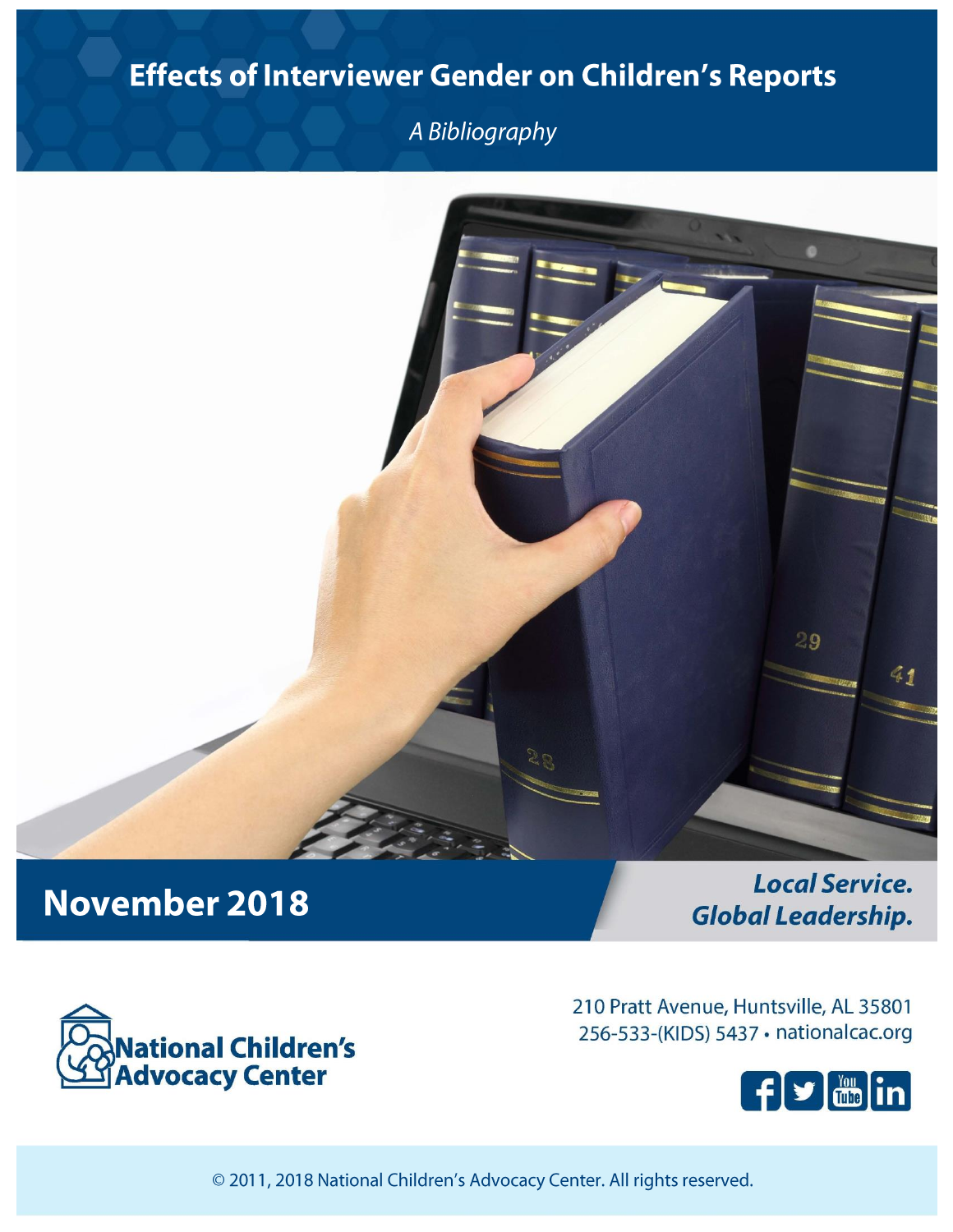## Effects of Interviewer Gender on Children's Reports

A Bibliography



# **November 2018**

**Local Service. Global Leadership.** 



210 Pratt Avenue, Huntsville, AL 35801 256-533-(KIDS) 5437 · nationalcac.org



© 2011, 2018 National Children's Advocacy Center. All rights reserved.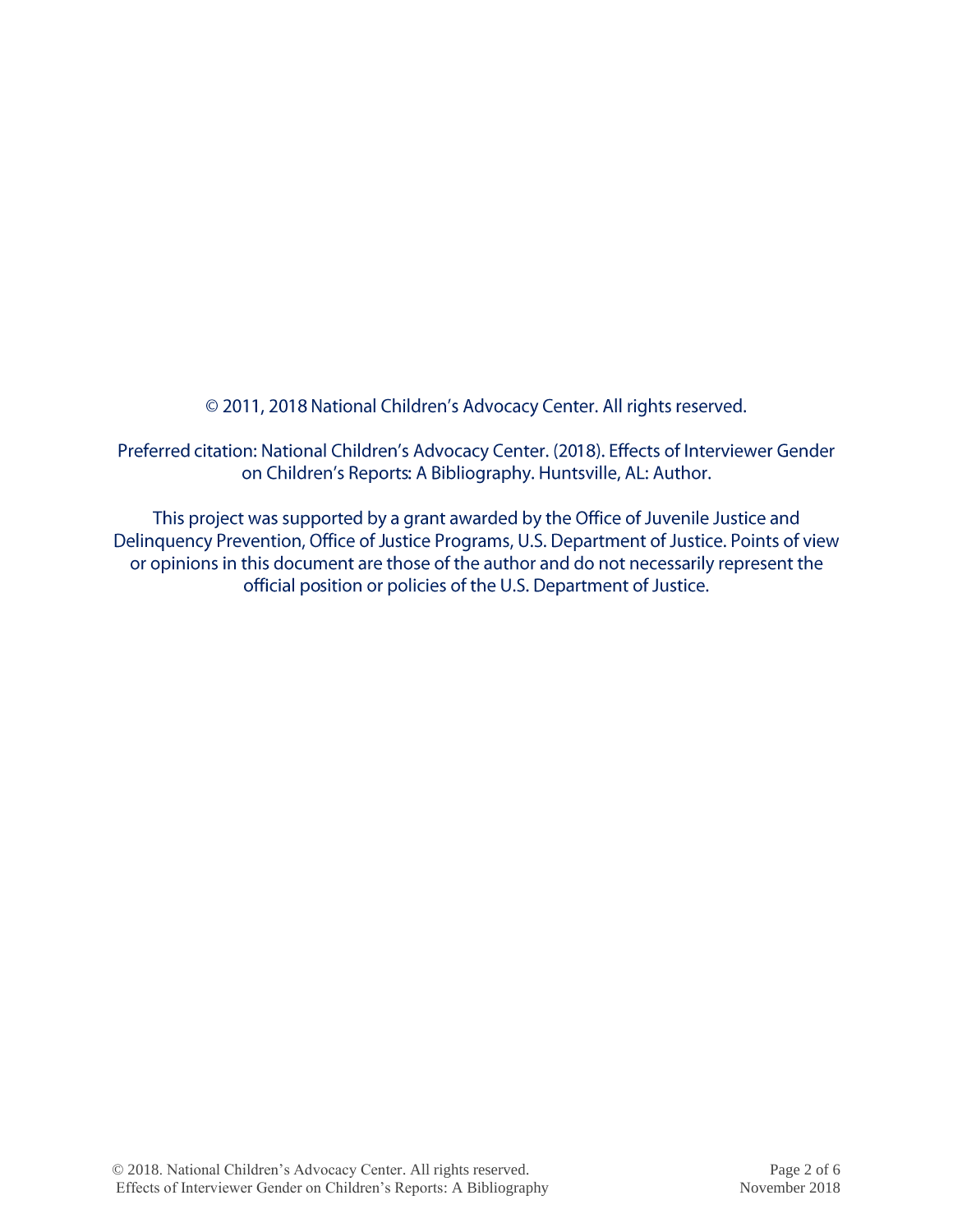© 2011, 2018 National Children's Advocacy Center. All rights reserved.

Preferred citation: National Children's Advocacy Center. (2018). Effects of Interviewer Gender on Children's Reports: A Bibliography. Huntsville, AL: Author.

This project was supported by a grant awarded by the Office of Juvenile Justice and Delinquency Prevention, Office of Justice Programs, U.S. Department of Justice. Points of view or opinions in this document are those of the author and do not necessarily represent the official position or policies of the U.S. Department of Justice.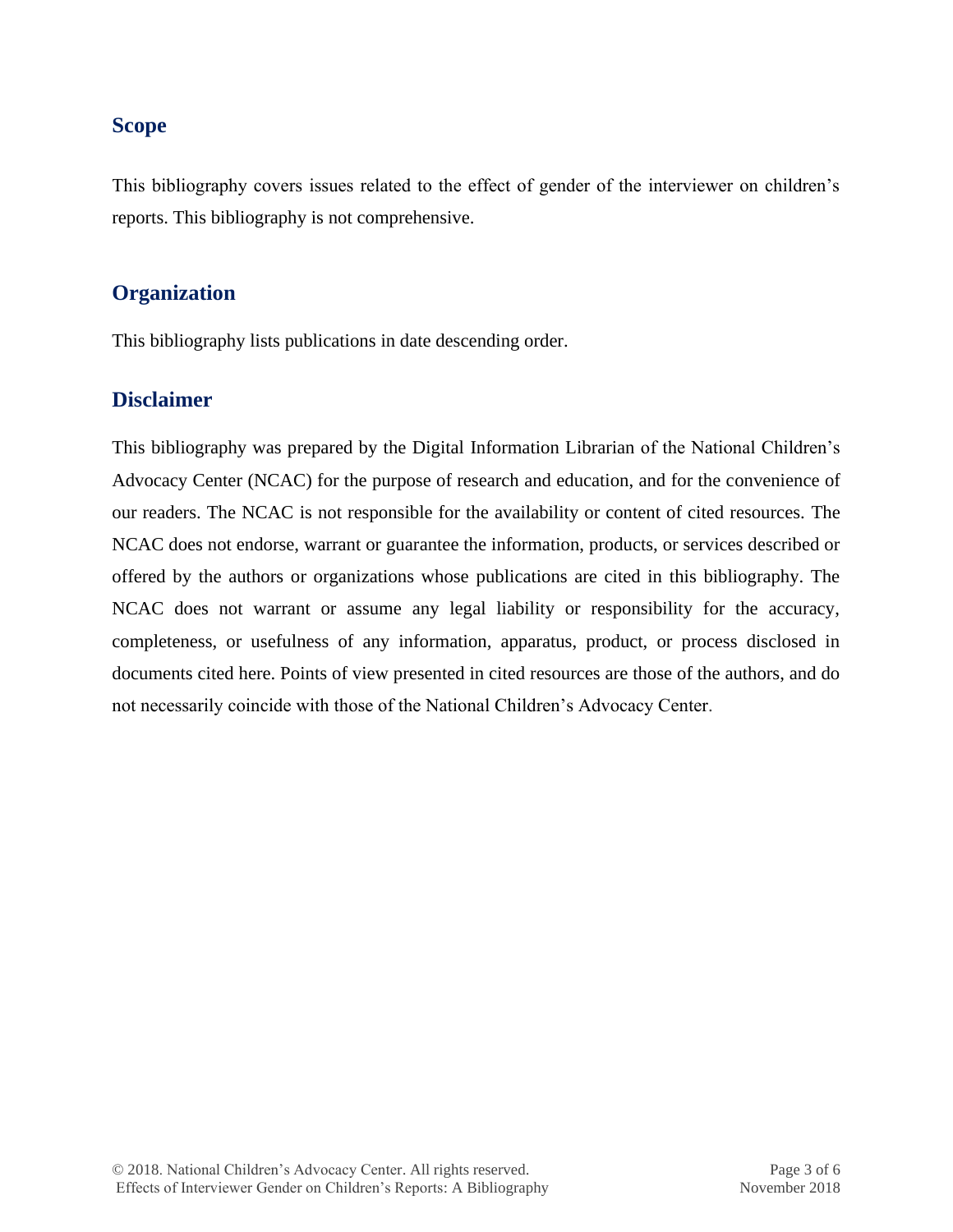### **Scope**

This bibliography covers issues related to the effect of gender of the interviewer on children's reports. This bibliography is not comprehensive.

## **Organization**

This bibliography lists publications in date descending order.

## **Disclaimer**

This bibliography was prepared by the Digital Information Librarian of the National Children's Advocacy Center (NCAC) for the purpose of research and education, and for the convenience of our readers. The NCAC is not responsible for the availability or content of cited resources. The NCAC does not endorse, warrant or guarantee the information, products, or services described or offered by the authors or organizations whose publications are cited in this bibliography. The NCAC does not warrant or assume any legal liability or responsibility for the accuracy, completeness, or usefulness of any information, apparatus, product, or process disclosed in documents cited here. Points of view presented in cited resources are those of the authors, and do not necessarily coincide with those of the National Children's Advocacy Center.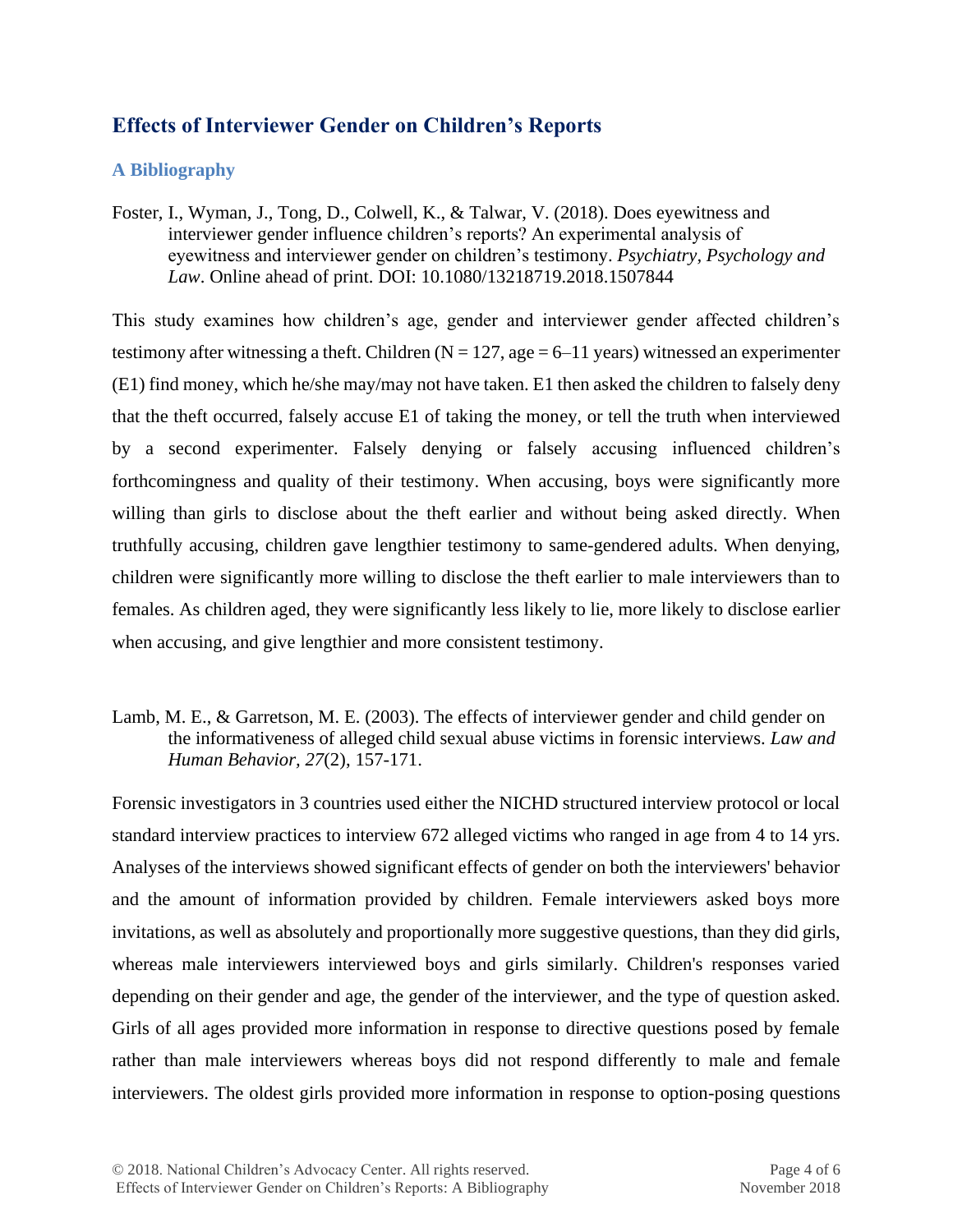## **Effects of Interviewer Gender on Children's Reports**

### **A Bibliography**

Foster, I., Wyman, J., Tong, D., Colwell, K., & Talwar, V. (2018). Does eyewitness and interviewer gender influence children's reports? An experimental analysis of eyewitness and interviewer gender on children's testimony. *Psychiatry, Psychology and Law*. Online ahead of print. DOI: 10.1080/13218719.2018.1507844

This study examines how children's age, gender and interviewer gender affected children's testimony after witnessing a theft. Children ( $N = 127$ , age = 6–11 years) witnessed an experimenter (E1) find money, which he/she may/may not have taken. E1 then asked the children to falsely deny that the theft occurred, falsely accuse E1 of taking the money, or tell the truth when interviewed by a second experimenter. Falsely denying or falsely accusing influenced children's forthcomingness and quality of their testimony. When accusing, boys were significantly more willing than girls to disclose about the theft earlier and without being asked directly. When truthfully accusing, children gave lengthier testimony to same-gendered adults. When denying, children were significantly more willing to disclose the theft earlier to male interviewers than to females. As children aged, they were significantly less likely to lie, more likely to disclose earlier when accusing, and give lengthier and more consistent testimony.

Lamb, M. E., & Garretson, M. E. (2003). The effects of interviewer gender and child gender on the informativeness of alleged child sexual abuse victims in forensic interviews. *Law and Human Behavior, 27*(2), 157-171.

Forensic investigators in 3 countries used either the NICHD structured interview protocol or local standard interview practices to interview 672 alleged victims who ranged in age from 4 to 14 yrs. Analyses of the interviews showed significant effects of gender on both the interviewers' behavior and the amount of information provided by children. Female interviewers asked boys more invitations, as well as absolutely and proportionally more suggestive questions, than they did girls, whereas male interviewers interviewed boys and girls similarly. Children's responses varied depending on their gender and age, the gender of the interviewer, and the type of question asked. Girls of all ages provided more information in response to directive questions posed by female rather than male interviewers whereas boys did not respond differently to male and female interviewers. The oldest girls provided more information in response to option-posing questions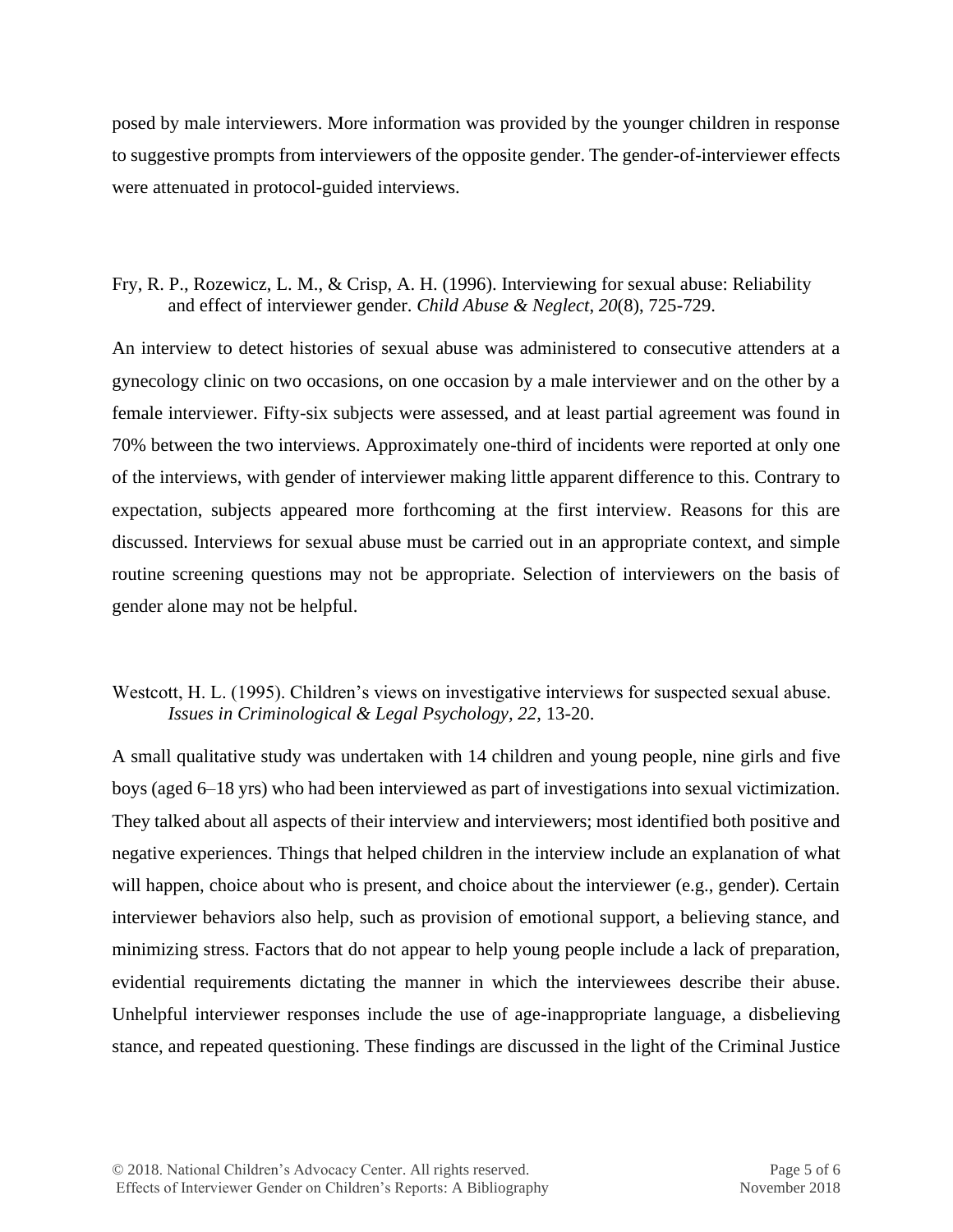posed by male interviewers. More information was provided by the younger children in response to suggestive prompts from interviewers of the opposite gender. The gender-of-interviewer effects were attenuated in protocol-guided interviews.

#### Fry, R. P., Rozewicz, L. M., & Crisp, A. H. (1996). Interviewing for sexual abuse: Reliability and effect of interviewer gender. *Child Abuse & Neglect*, *20*(8), 725-729.

An interview to detect histories of sexual abuse was administered to consecutive attenders at a gynecology clinic on two occasions, on one occasion by a male interviewer and on the other by a female interviewer. Fifty-six subjects were assessed, and at least partial agreement was found in 70% between the two interviews. Approximately one-third of incidents were reported at only one of the interviews, with gender of interviewer making little apparent difference to this. Contrary to expectation, subjects appeared more forthcoming at the first interview. Reasons for this are discussed. Interviews for sexual abuse must be carried out in an appropriate context, and simple routine screening questions may not be appropriate. Selection of interviewers on the basis of gender alone may not be helpful.

### Westcott, H. L. (1995). Children's views on investigative interviews for suspected sexual abuse. *Issues in Criminological & Legal Psychology, 22*, 13-20.

A small qualitative study was undertaken with 14 children and young people, nine girls and five boys (aged 6–18 yrs) who had been interviewed as part of investigations into sexual victimization. They talked about all aspects of their interview and interviewers; most identified both positive and negative experiences. Things that helped children in the interview include an explanation of what will happen, choice about who is present, and choice about the interviewer (e.g., gender). Certain interviewer behaviors also help, such as provision of emotional support, a believing stance, and minimizing stress. Factors that do not appear to help young people include a lack of preparation, evidential requirements dictating the manner in which the interviewees describe their abuse. Unhelpful interviewer responses include the use of age-inappropriate language, a disbelieving stance, and repeated questioning. These findings are discussed in the light of the Criminal Justice